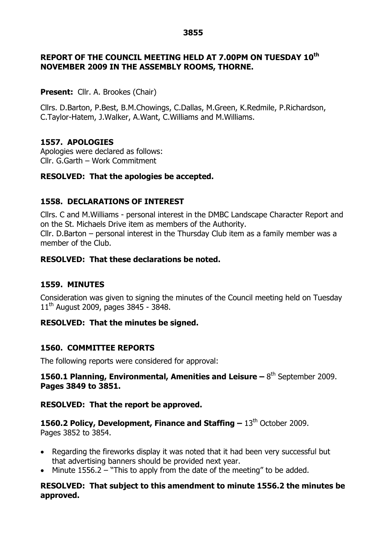#### **3855**

### **REPORT OF THE COUNCIL MEETING HELD AT 7.00PM ON TUESDAY 10th NOVEMBER 2009 IN THE ASSEMBLY ROOMS, THORNE.**

### **Present:** Cllr. A. Brookes (Chair)

Cllrs. D.Barton, P.Best, B.M.Chowings, C.Dallas, M.Green, K.Redmile, P.Richardson, C.Taylor-Hatem, J.Walker, A.Want, C.Williams and M.Williams.

### **1557. APOLOGIES**

Apologies were declared as follows: Cllr. G.Garth –Work Commitment

### **RESOLVED: That the apologies be accepted.**

### **1558. DECLARATIONS OF INTEREST**

Cllrs. C and M.Williams - personal interest in the DMBC Landscape Character Report and on the St. Michaels Drive item as members of the Authority. Cllr. D.Barton – personal interest in the Thursday Club item as a family member was a member of the Club.

#### **RESOLVED: That these declarations be noted.**

#### **1559. MINUTES**

Consideration was given to signing the minutes of the Council meeting held on Tuesday 11<sup>th</sup> August 2009, pages 3845 - 3848.

### **RESOLVED: That the minutes be signed.**

#### **1560. COMMITTEE REPORTS**

The following reports were considered for approval:

### **1560.1 Planning, Environmental, Amenities and Leisure –**8 th September 2009. **Pages 3849 to 3851.**

#### **RESOLVED: That the report be approved.**

**1560.2 Policy, Development, Finance and Staffing –**13th October 2009. Pages 3852 to 3854.

- Regarding the fireworks display it was noted that it had been very successful but that advertising banners should be provided next year.
- Minute 1556.2 "This to apply from the date of the meeting" to be added.

#### **RESOLVED: That subject to this amendment to minute 1556.2 the minutes be approved.**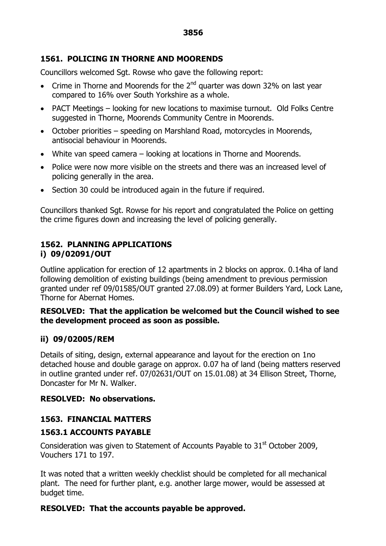# **1561. POLICING IN THORNE AND MOORENDS**

Councillors welcomed Sgt. Rowse who gave the following report:

- Crime in Thorne and Moorends for the  $2^{nd}$  quarter was down 32% on last year compared to 16% over South Yorkshire as a whole.
- PACT Meetings looking for new locations to maximise turnout. Old Folks Centre suggested in Thorne, Moorends Community Centre in Moorends.
- October priorities speeding on Marshland Road, motorcycles in Moorends, antisocial behaviour in Moorends.
- White van speed camera looking at locations in Thorne and Moorends.
- Police were now more visible on the streets and there was an increased level of policing generally in the area.
- Section 30 could be introduced again in the future if required.

Councillors thanked Sgt. Rowse for his report and congratulated the Police on getting the crime figures down and increasing the level of policing generally.

## **1562. PLANNING APPLICATIONS i) 09/02091/OUT**

Outline application for erection of 12 apartments in 2 blocks on approx. 0.14ha of land following demolition of existing buildings (being amendment to previous permission granted under ref 09/01585/OUT granted 27.08.09) at former Builders Yard, Lock Lane, Thorne for Abernat Homes.

### **RESOLVED: That the application be welcomed but the Council wished to see the development proceed as soon as possible.**

# **ii) 09/02005/REM**

Details of siting, design, external appearance and layout for the erection on 1no detached house and double garage on approx. 0.07 ha of land (being matters reserved in outline granted under ref. 07/02631/OUT on 15.01.08) at 34 Ellison Street, Thorne, Doncaster for Mr N. Walker.

### **RESOLVED: No observations.**

# **1563. FINANCIAL MATTERS**

# **1563.1 ACCOUNTS PAYABLE**

Consideration was given to Statement of Accounts Payable to  $31<sup>st</sup>$  October 2009, Vouchers 171 to 197.

It was noted that a written weekly checklist should be completed for all mechanical plant. The need for further plant, e.g. another large mower, would be assessed at budget time.

# **RESOLVED: That the accounts payable be approved.**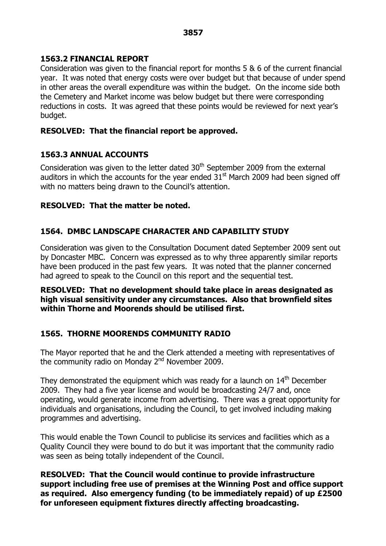## **1563.2 FINANCIAL REPORT**

Consideration was given to the financial report for months 5 & 6 of the current financial year. It was noted that energy costs were over budget but that because of under spend in other areas the overall expenditure was within the budget. On the income side both the Cemetery and Market income was below budget but there were corresponding reductions in costs. It was agreed that these points would be reviewed for next year's budget.

## **RESOLVED: That the financial report be approved.**

## **1563.3 ANNUAL ACCOUNTS**

Consideration was given to the letter dated 30<sup>th</sup> September 2009 from the external auditors in which the accounts for the year ended  $31<sup>st</sup>$  March 2009 had been signed off with no matters being drawn to the Council's attention.

## **RESOLVED: That the matter be noted.**

## **1564. DMBC LANDSCAPE CHARACTER AND CAPABILITY STUDY**

Consideration was given to the Consultation Document dated September 2009 sent out by Doncaster MBC. Concern was expressed as to why three apparently similar reports have been produced in the past few years. It was noted that the planner concerned had agreed to speak to the Council on this report and the sequential test.

### **RESOLVED: That no development should take place in areas designated as high visual sensitivity under any circumstances. Also that brownfield sites within Thorne and Moorends should be utilised first.**

### **1565. THORNE MOORENDS COMMUNITY RADIO**

The Mayor reported that he and the Clerk attended a meeting with representatives of the community radio on Monday  $2<sup>nd</sup>$  November 2009.

They demonstrated the equipment which was ready for a launch on  $14<sup>th</sup>$  December 2009. They had a five year license and would be broadcasting 24/7 and, once operating, would generate income from advertising. There was a great opportunity for individuals and organisations, including the Council, to get involved including making programmes and advertising.

This would enable the Town Council to publicise its services and facilities which as a Quality Council they were bound to do but it was important that the community radio was seen as being totally independent of the Council.

**RESOLVED: That the Council would continue to provide infrastructure support including free use of premises at the Winning Post and office support as required. Also emergency funding (to be immediately repaid) of up £2500 for unforeseen equipment fixtures directly affecting broadcasting.**